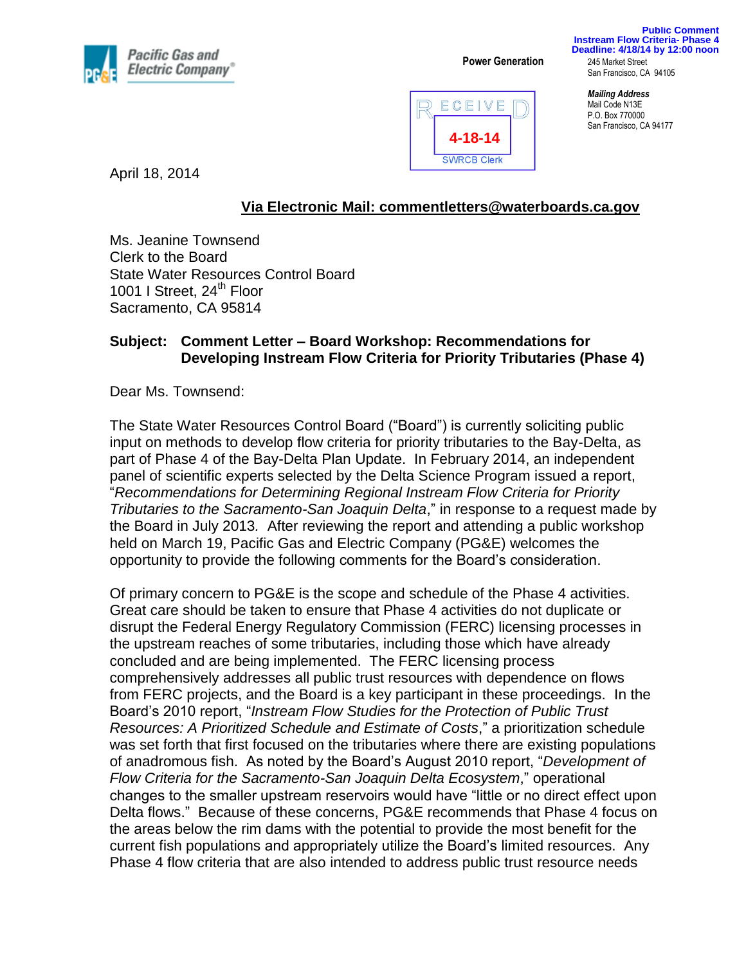

**Power Generation** 245 Market Street

**Public Comment Instream Flow Criteria- Phase 4 Deadline: 4/18/14 by 12:00 noon**

San Francisco, CA 94105



*Mailing Address* Mail Code N13E P.O. Box 770000 San Francisco, CA 94177

April 18, 2014

## **Via Electronic Mail: [commentletters@waterboards.ca.gov](mailto:commentletters@waterboards.ca.gov)**

Ms. Jeanine Townsend Clerk to the Board State Water Resources Control Board 1001 I Street, 24<sup>th</sup> Floor Sacramento, CA 95814

## **Subject: Comment Letter – Board Workshop: Recommendations for Developing Instream Flow Criteria for Priority Tributaries (Phase 4)**

Dear Ms. Townsend:

The State Water Resources Control Board ("Board") is currently soliciting public input on methods to develop flow criteria for priority tributaries to the Bay-Delta, as part of Phase 4 of the Bay-Delta Plan Update. In February 2014, an independent panel of scientific experts selected by the Delta Science Program issued a report, "*Recommendations for Determining Regional Instream Flow Criteria for Priority Tributaries to the Sacramento-San Joaquin Delta*," in response to a request made by the Board in July 2013*.* After reviewing the report and attending a public workshop held on March 19, Pacific Gas and Electric Company (PG&E) welcomes the opportunity to provide the following comments for the Board's consideration.

Of primary concern to PG&E is the scope and schedule of the Phase 4 activities. Great care should be taken to ensure that Phase 4 activities do not duplicate or disrupt the Federal Energy Regulatory Commission (FERC) licensing processes in the upstream reaches of some tributaries, including those which have already concluded and are being implemented. The FERC licensing process comprehensively addresses all public trust resources with dependence on flows from FERC projects, and the Board is a key participant in these proceedings. In the Board's 2010 report, "*Instream Flow Studies for the Protection of Public Trust Resources: A Prioritized Schedule and Estimate of Costs*," a prioritization schedule was set forth that first focused on the tributaries where there are existing populations of anadromous fish. As noted by the Board's August 2010 report, "*Development of Flow Criteria for the Sacramento-San Joaquin Delta Ecosystem*," operational changes to the smaller upstream reservoirs would have "little or no direct effect upon Delta flows." Because of these concerns, PG&E recommends that Phase 4 focus on the areas below the rim dams with the potential to provide the most benefit for the current fish populations and appropriately utilize the Board's limited resources. Any Phase 4 flow criteria that are also intended to address public trust resource needs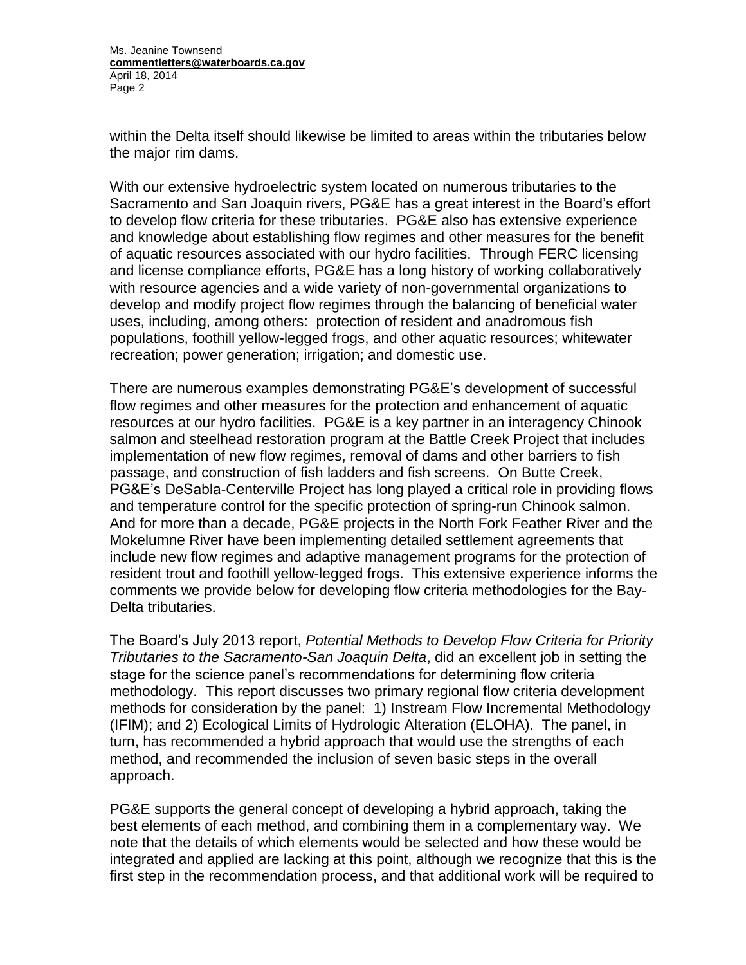Ms. Jeanine Townsend **commentletters@waterboards.ca.gov** April 18, 2014 Page 2

within the Delta itself should likewise be limited to areas within the tributaries below the major rim dams.

With our extensive hydroelectric system located on numerous tributaries to the Sacramento and San Joaquin rivers, PG&E has a great interest in the Board's effort to develop flow criteria for these tributaries. PG&E also has extensive experience and knowledge about establishing flow regimes and other measures for the benefit of aquatic resources associated with our hydro facilities. Through FERC licensing and license compliance efforts, PG&E has a long history of working collaboratively with resource agencies and a wide variety of non-governmental organizations to develop and modify project flow regimes through the balancing of beneficial water uses, including, among others: protection of resident and anadromous fish populations, foothill yellow-legged frogs, and other aquatic resources; whitewater recreation; power generation; irrigation; and domestic use.

There are numerous examples demonstrating PG&E's development of successful flow regimes and other measures for the protection and enhancement of aquatic resources at our hydro facilities. PG&E is a key partner in an interagency Chinook salmon and steelhead restoration program at the Battle Creek Project that includes implementation of new flow regimes, removal of dams and other barriers to fish passage, and construction of fish ladders and fish screens. On Butte Creek, PG&E's DeSabla-Centerville Project has long played a critical role in providing flows and temperature control for the specific protection of spring-run Chinook salmon. And for more than a decade, PG&E projects in the North Fork Feather River and the Mokelumne River have been implementing detailed settlement agreements that include new flow regimes and adaptive management programs for the protection of resident trout and foothill yellow-legged frogs. This extensive experience informs the comments we provide below for developing flow criteria methodologies for the Bay-Delta tributaries.

The Board's July 2013 report, *Potential Methods to Develop Flow Criteria for Priority Tributaries to the Sacramento-San Joaquin Delta*, did an excellent job in setting the stage for the science panel's recommendations for determining flow criteria methodology. This report discusses two primary regional flow criteria development methods for consideration by the panel: 1) Instream Flow Incremental Methodology (IFIM); and 2) Ecological Limits of Hydrologic Alteration (ELOHA). The panel, in turn, has recommended a hybrid approach that would use the strengths of each method, and recommended the inclusion of seven basic steps in the overall approach.

PG&E supports the general concept of developing a hybrid approach, taking the best elements of each method, and combining them in a complementary way. We note that the details of which elements would be selected and how these would be integrated and applied are lacking at this point, although we recognize that this is the first step in the recommendation process, and that additional work will be required to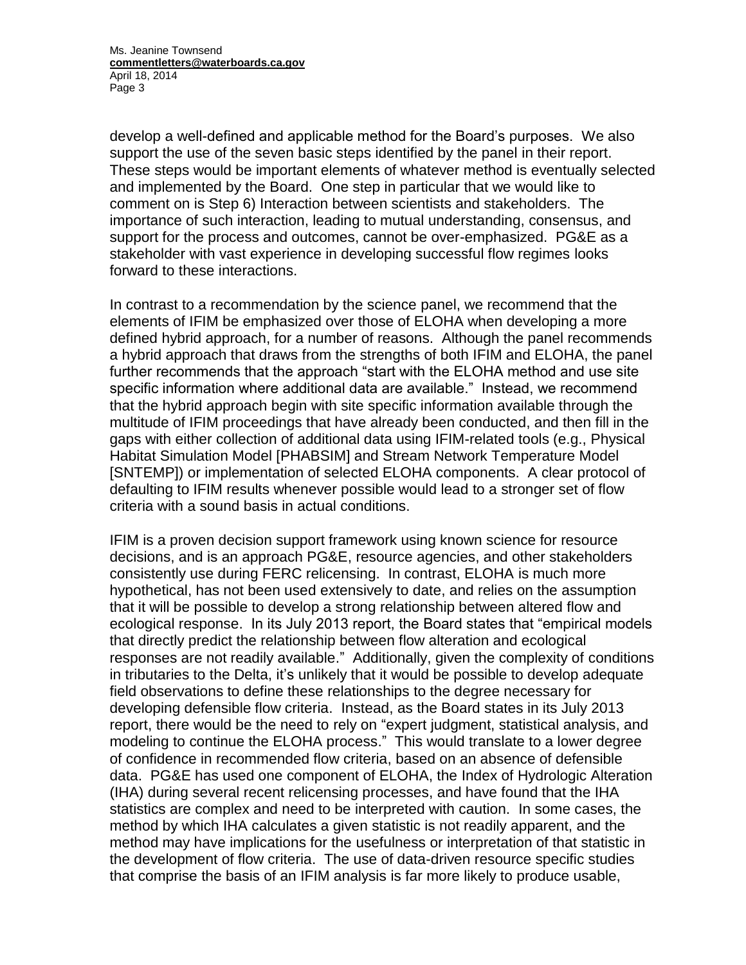Ms. Jeanine Townsend **commentletters@waterboards.ca.gov** April 18, 2014 Page 3

develop a well-defined and applicable method for the Board's purposes. We also support the use of the seven basic steps identified by the panel in their report. These steps would be important elements of whatever method is eventually selected and implemented by the Board. One step in particular that we would like to comment on is Step 6) Interaction between scientists and stakeholders. The importance of such interaction, leading to mutual understanding, consensus, and support for the process and outcomes, cannot be over-emphasized. PG&E as a stakeholder with vast experience in developing successful flow regimes looks forward to these interactions.

In contrast to a recommendation by the science panel, we recommend that the elements of IFIM be emphasized over those of ELOHA when developing a more defined hybrid approach, for a number of reasons. Although the panel recommends a hybrid approach that draws from the strengths of both IFIM and ELOHA, the panel further recommends that the approach "start with the ELOHA method and use site specific information where additional data are available." Instead, we recommend that the hybrid approach begin with site specific information available through the multitude of IFIM proceedings that have already been conducted, and then fill in the gaps with either collection of additional data using IFIM-related tools (e.g., Physical Habitat Simulation Model [PHABSIM] and Stream Network Temperature Model [SNTEMP]) or implementation of selected ELOHA components. A clear protocol of defaulting to IFIM results whenever possible would lead to a stronger set of flow criteria with a sound basis in actual conditions.

IFIM is a proven decision support framework using known science for resource decisions, and is an approach PG&E, resource agencies, and other stakeholders consistently use during FERC relicensing. In contrast, ELOHA is much more hypothetical, has not been used extensively to date, and relies on the assumption that it will be possible to develop a strong relationship between altered flow and ecological response. In its July 2013 report, the Board states that "empirical models that directly predict the relationship between flow alteration and ecological responses are not readily available." Additionally, given the complexity of conditions in tributaries to the Delta, it's unlikely that it would be possible to develop adequate field observations to define these relationships to the degree necessary for developing defensible flow criteria. Instead, as the Board states in its July 2013 report, there would be the need to rely on "expert judgment, statistical analysis, and modeling to continue the ELOHA process." This would translate to a lower degree of confidence in recommended flow criteria, based on an absence of defensible data. PG&E has used one component of ELOHA, the Index of Hydrologic Alteration (IHA) during several recent relicensing processes, and have found that the IHA statistics are complex and need to be interpreted with caution. In some cases, the method by which IHA calculates a given statistic is not readily apparent, and the method may have implications for the usefulness or interpretation of that statistic in the development of flow criteria. The use of data-driven resource specific studies that comprise the basis of an IFIM analysis is far more likely to produce usable,